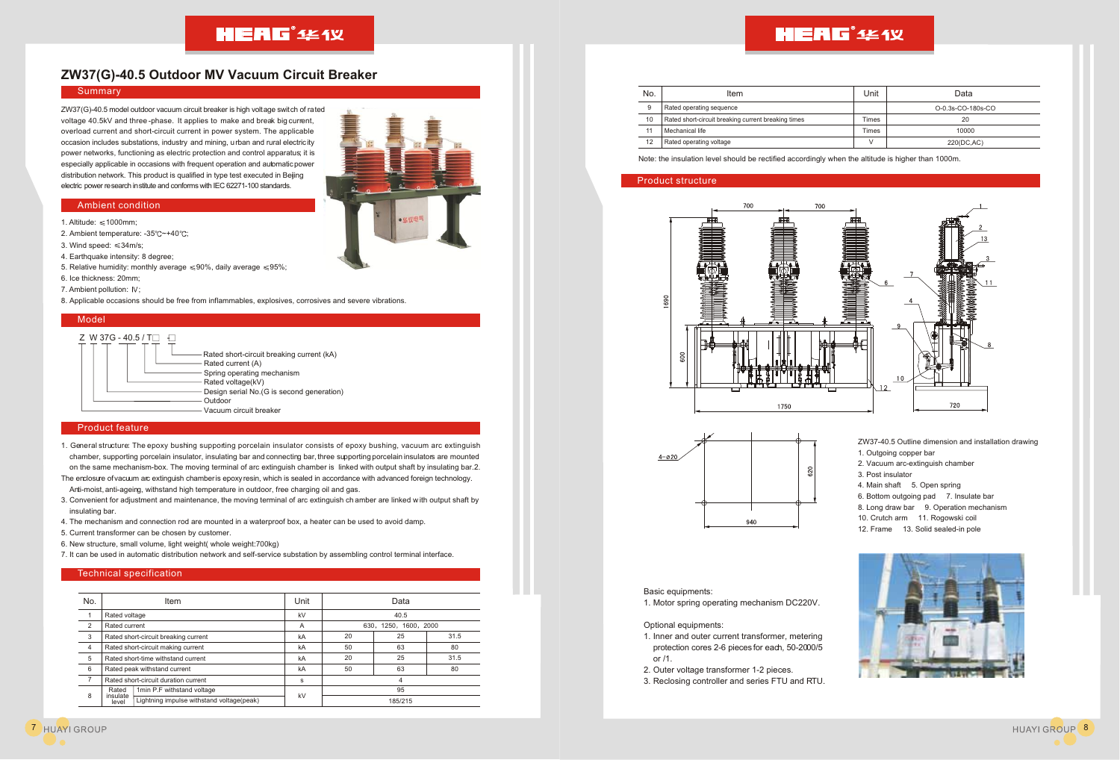## **HEAG**<sup>\*</sup> 444 Y

### **ZW37(G)-40.5 Outdoor MV Vacuum Circuit Breaker**

#### **Summary**

ZW37(G)-40.5 model outdoor vacuum circuit breaker is high voltage switch of rated voltage 40.5kV and three -phase. It applies to make and break big current, overload current and short-circuit current in power system. The applicable occasion includes substations, industry and mining, urban and rural electricity power networks, functioning as electric protection and control apparatus; it is especially applicable in occasions with frequent operation and automatic power distribution network. This product is qualified in type test executed in Beijing electric power research institute and conforms with IEC 62271-100 standards.

#### Ambient condition

- 1. Altitude:  $\leq 1000$ mm;
- 2. Ambient temperature: -35°C~+40°C;
- 3. Wind speed:  $\leq 34$ m/s;
- 4. Earthquake intensity: 8 degree;
- 5. Relative humidity: monthly average  $\leq 90\%$ , daily average  $\leq 95\%$ ;
- 6. Ice thickness: 20mm;
- 7. Ambient pollution: IV:
- 8. Applicable occasions should be free from inflammables, explosives, corrosives and severe vibrations.

#### Model



#### Product feature

- 1. General structure: The epoxy bushing supporting porcelain insulator consists of epoxy bushing, vacuum arc extinguish chamber, supporting porcelain insulator, insulating bar and connecting bar, three supporting porcelain insulators are mounted on the same mechanism-box. The moving terminal of arc extinguish chamber is linked with output shaft by insulating bar.2.
- The enclosure of vacuum arc extinguish chamber is epoxy resin, which is sealed in accordance with advanced foreign technology. Anti-moist, anti-ageing, withstand high temperature in outdoor, free charging oil and gas.
- 3. Convenient for adjustment and maintenance, the moving terminal of arc extinguish ch amber are linked with output shaft by insulating bar.
- 4. The mechanism and connection rod are mounted in a waterproof box, a heater can be used to avoid damp.
- 5. Current transformer can be chosen by customer.
- 6. New structure, small volume, light weight( whole weight:700kg)
- 7. It can be used in automatic distribution network and self-service substation by assembling control terminal interface.

#### Technical specification

| No.            | Item                                 |                                           | Unit | Data                  |    |      |  |  |  |
|----------------|--------------------------------------|-------------------------------------------|------|-----------------------|----|------|--|--|--|
|                | Rated voltage                        |                                           | kV   | 40.5                  |    |      |  |  |  |
| 2              | Rated current                        |                                           | A    | 630, 1250, 1600, 2000 |    |      |  |  |  |
| 3              | Rated short-circuit breaking current |                                           | kA   | 20                    | 25 | 31.5 |  |  |  |
| $\overline{4}$ | Rated short-circuit making current   |                                           | kA   | 50                    | 63 | 80   |  |  |  |
| 5              | Rated short-time withstand current   |                                           | kA   | 20                    | 25 | 31.5 |  |  |  |
| 6              | Rated peak withstand current         |                                           | kA   | 50                    | 63 | 80   |  |  |  |
| $\overline{ }$ | Rated short-circuit duration current |                                           | s    | 4                     |    |      |  |  |  |
| 8              | Rated<br>insulate<br>level           | 1min P.F withstand voltage                | kV   | 95                    |    |      |  |  |  |
|                |                                      | Lightning impulse withstand voltage(peak) |      | 185/215               |    |      |  |  |  |